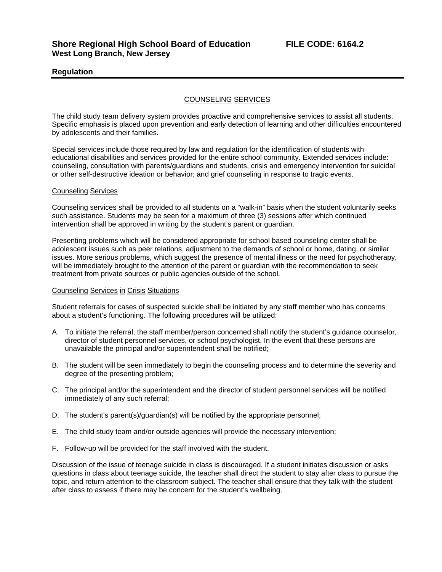# **Regulation**

## COUNSELING SERVICES

The child study team delivery system provides proactive and comprehensive services to assist all students. Specific emphasis is placed upon prevention and early detection of learning and other difficulties encountered by adolescents and their families.

Special services include those required by law and regulation for the identification of students with educational disabilities and services provided for the entire school community. Extended services include: counseling, consultation with parents/guardians and students, crisis and emergency intervention for suicidal or other self-destructive ideation or behavior; and grief counseling in response to tragic events.

#### Counseling Services

Counseling services shall be provided to all students on a "walk-in" basis when the student voluntarily seeks such assistance. Students may be seen for a maximum of three (3) sessions after which continued intervention shall be approved in writing by the student's parent or guardian.

Presenting problems which will be considered appropriate for school based counseling center shall be adolescent issues such as peer relations, adjustment to the demands of school or home, dating, or similar issues. More serious problems, which suggest the presence of mental illness or the need for psychotherapy, will be immediately brought to the attention of the parent or guardian with the recommendation to seek treatment from private sources or public agencies outside of the school.

## Counseling Services in Crisis Situations

Student referrals for cases of suspected suicide shall be initiated by any staff member who has concerns about a student's functioning. The following procedures will be utilized:

- A. To initiate the referral, the staff member/person concerned shall notify the student's guidance counselor, director of student personnel services, or school psychologist. In the event that these persons are unavailable the principal and/or superintendent shall be notified;
- B. The student will be seen immediately to begin the counseling process and to determine the severity and degree of the presenting problem;
- C. The principal and/or the superintendent and the director of student personnel services will be notified immediately of any such referral;
- D. The student's parent(s)/guardian(s) will be notified by the appropriate personnel;
- E. The child study team and/or outside agencies will provide the necessary intervention;
- F. Follow-up will be provided for the staff involved with the student.

Discussion of the issue of teenage suicide in class is discouraged. If a student initiates discussion or asks questions in class about teenage suicide, the teacher shall direct the student to stay after class to pursue the topic, and return attention to the classroom subject. The teacher shall ensure that they talk with the student after class to assess if there may be concern for the student's wellbeing.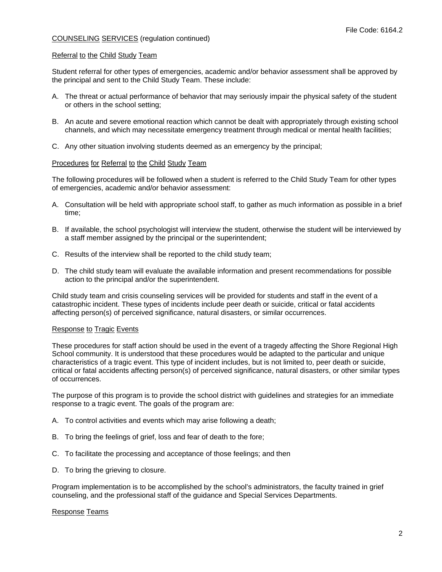## COUNSELING SERVICES (regulation continued)

#### Referral to the Child Study Team

Student referral for other types of emergencies, academic and/or behavior assessment shall be approved by the principal and sent to the Child Study Team. These include:

- A. The threat or actual performance of behavior that may seriously impair the physical safety of the student or others in the school setting;
- B. An acute and severe emotional reaction which cannot be dealt with appropriately through existing school channels, and which may necessitate emergency treatment through medical or mental health facilities;
- C. Any other situation involving students deemed as an emergency by the principal;

#### Procedures for Referral to the Child Study Team

The following procedures will be followed when a student is referred to the Child Study Team for other types of emergencies, academic and/or behavior assessment:

- A. Consultation will be held with appropriate school staff, to gather as much information as possible in a brief time;
- B. If available, the school psychologist will interview the student, otherwise the student will be interviewed by a staff member assigned by the principal or the superintendent;
- C. Results of the interview shall be reported to the child study team;
- D. The child study team will evaluate the available information and present recommendations for possible action to the principal and/or the superintendent.

Child study team and crisis counseling services will be provided for students and staff in the event of a catastrophic incident. These types of incidents include peer death or suicide, critical or fatal accidents affecting person(s) of perceived significance, natural disasters, or similar occurrences.

## Response to Tragic Events

These procedures for staff action should be used in the event of a tragedy affecting the Shore Regional High School community. It is understood that these procedures would be adapted to the particular and unique characteristics of a tragic event. This type of incident includes, but is not limited to, peer death or suicide, critical or fatal accidents affecting person(s) of perceived significance, natural disasters, or other similar types of occurrences.

The purpose of this program is to provide the school district with guidelines and strategies for an immediate response to a tragic event. The goals of the program are:

- A. To control activities and events which may arise following a death;
- B. To bring the feelings of grief, loss and fear of death to the fore;
- C. To facilitate the processing and acceptance of those feelings; and then
- D. To bring the grieving to closure.

Program implementation is to be accomplished by the school's administrators, the faculty trained in grief counseling, and the professional staff of the guidance and Special Services Departments.

## Response Teams